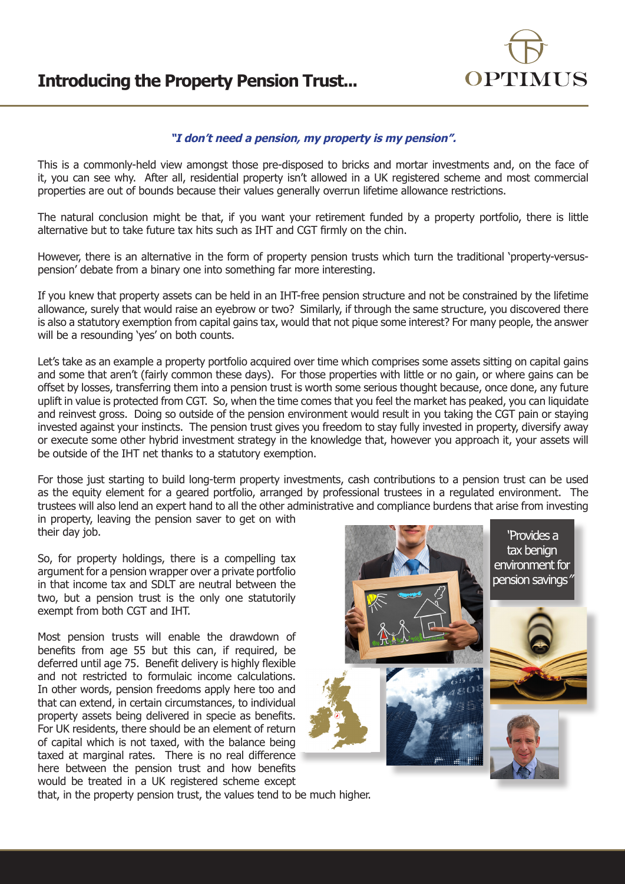## **Introducing the Property Pension Trust...**



## **"I don't need a pension, my property is my pension".**

This is a commonly-held view amongst those pre-disposed to bricks and mortar investments and, on the face of it, you can see why. After all, residential property isn't allowed in a UK registered scheme and most commercial properties are out of bounds because their values generally overrun lifetime allowance restrictions.

The natural conclusion might be that, if you want your retirement funded by a property portfolio, there is little alternative but to take future tax hits such as IHT and CGT firmly on the chin.

However, there is an alternative in the form of property pension trusts which turn the traditional 'property-versuspension' debate from a binary one into something far more interesting.

If you knew that property assets can be held in an IHT-free pension structure and not be constrained by the lifetime allowance, surely that would raise an eyebrow or two? Similarly, if through the same structure, you discovered there is also a statutory exemption from capital gains tax, would that not pique some interest? For many people, the answer will be a resounding 'yes' on both counts.

Let's take as an example a property portfolio acquired over time which comprises some assets sitting on capital gains and some that aren't (fairly common these days). For those properties with little or no gain, or where gains can be offset by losses, transferring them into a pension trust is worth some serious thought because, once done, any future uplift in value is protected from CGT. So, when the time comes that you feel the market has peaked, you can liquidate and reinvest gross. Doing so outside of the pension environment would result in you taking the CGT pain or staying invested against your instincts. The pension trust gives you freedom to stay fully invested in property, diversify away or execute some other hybrid investment strategy in the knowledge that, however you approach it, your assets will be outside of the IHT net thanks to a statutory exemption.

For those just starting to build long-term property investments, cash contributions to a pension trust can be used as the equity element for a geared portfolio, arranged by professional trustees in a regulated environment. The trustees will also lend an expert hand to all the other administrative and compliance burdens that arise from investing in property, leaving the pension saver to get on with

their day job.

So, for property holdings, there is a compelling tax argument for a pension wrapper over a private portfolio in that income tax and SDLT are neutral between the two, but a pension trust is the only one statutorily exempt from both CGT and IHT.

Most pension trusts will enable the drawdown of benefits from age 55 but this can, if required, be deferred until age 75. Benefit delivery is highly flexible and not restricted to formulaic income calculations. In other words, pension freedoms apply here too and that can extend, in certain circumstances, to individual property assets being delivered in specie as benefits. For UK residents, there should be an element of return of capital which is not taxed, with the balance being taxed at marginal rates. There is no real difference here between the pension trust and how benefits would be treated in a UK registered scheme except



that, in the property pension trust, the values tend to be much higher.